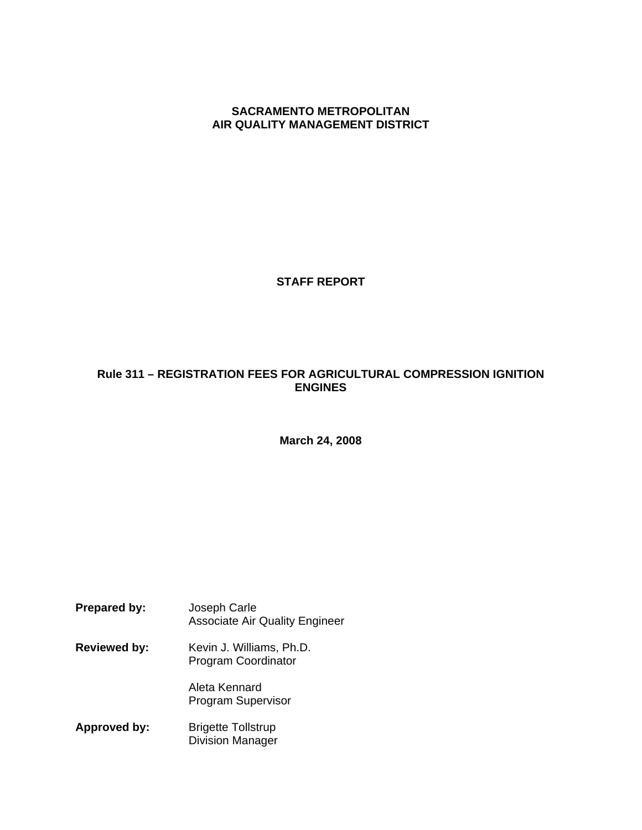**SACRAMENTO METROPOLITAN AIR QUALITY MANAGEMENT DISTRICT**

### **STAFF REPORT**

# **Rule 311 – REGISTRATION FEES FOR AGRICULTURAL COMPRESSION IGNITION ENGINES**

**March 24, 2008** 

**Prepared by:** Joseph Carle Associate Air Quality Engineer **Reviewed by:** Kevin J. Williams, Ph.D. Program Coordinator Aleta Kennard Program Supervisor **Approved by:** Brigette Tollstrup Division Manager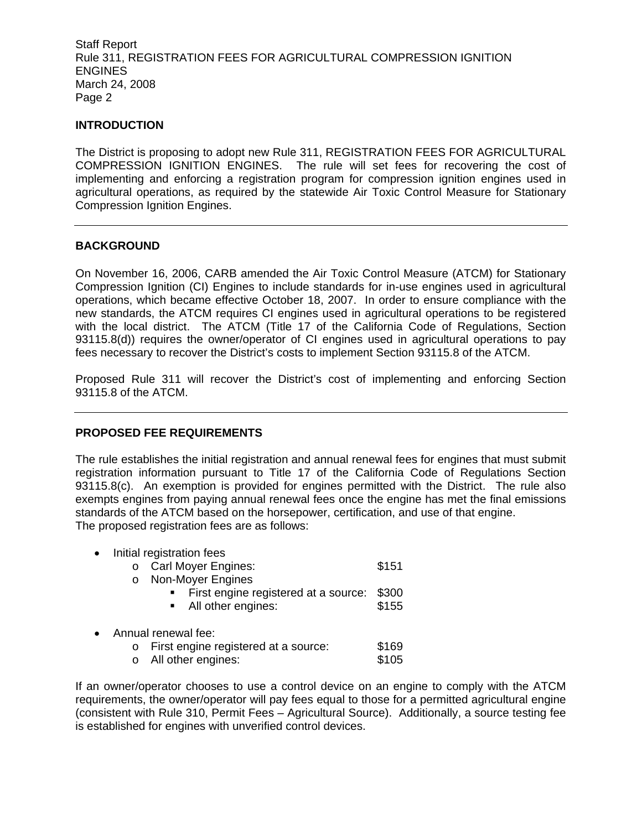### **INTRODUCTION**

The District is proposing to adopt new Rule 311, REGISTRATION FEES FOR AGRICULTURAL COMPRESSION IGNITION ENGINES. The rule will set fees for recovering the cost of implementing and enforcing a registration program for compression ignition engines used in agricultural operations, as required by the statewide Air Toxic Control Measure for Stationary Compression Ignition Engines.

#### **BACKGROUND**

On November 16, 2006, CARB amended the Air Toxic Control Measure (ATCM) for Stationary Compression Ignition (CI) Engines to include standards for in-use engines used in agricultural operations, which became effective October 18, 2007. In order to ensure compliance with the new standards, the ATCM requires CI engines used in agricultural operations to be registered with the local district. The ATCM (Title 17 of the California Code of Regulations, Section 93115.8(d)) requires the owner/operator of CI engines used in agricultural operations to pay fees necessary to recover the District's costs to implement Section 93115.8 of the ATCM.

Proposed Rule 311 will recover the District's cost of implementing and enforcing Section 93115.8 of the ATCM.

### **PROPOSED FEE REQUIREMENTS**

The rule establishes the initial registration and annual renewal fees for engines that must submit registration information pursuant to Title 17 of the California Code of Regulations Section 93115.8(c). An exemption is provided for engines permitted with the District. The rule also exempts engines from paying annual renewal fees once the engine has met the final emissions standards of the ATCM based on the horsepower, certification, and use of that engine. The proposed registration fees are as follows:

| $\bullet$ | Initial registration fees<br><b>Carl Moyer Engines:</b><br>$\circ$<br>Non-Moyer Engines<br>$\circ$ | \$151 |
|-----------|----------------------------------------------------------------------------------------------------|-------|
|           | First engine registered at a source:                                                               | \$300 |
|           | • All other engines:                                                                               | \$155 |
| $\bullet$ | Annual renewal fee:                                                                                |       |
|           | First engine registered at a source:<br>$\circ$                                                    | \$169 |
|           | All other engines:<br>$\circ$                                                                      | \$105 |

If an owner/operator chooses to use a control device on an engine to comply with the ATCM requirements, the owner/operator will pay fees equal to those for a permitted agricultural engine (consistent with Rule 310, Permit Fees – Agricultural Source). Additionally, a source testing fee is established for engines with unverified control devices.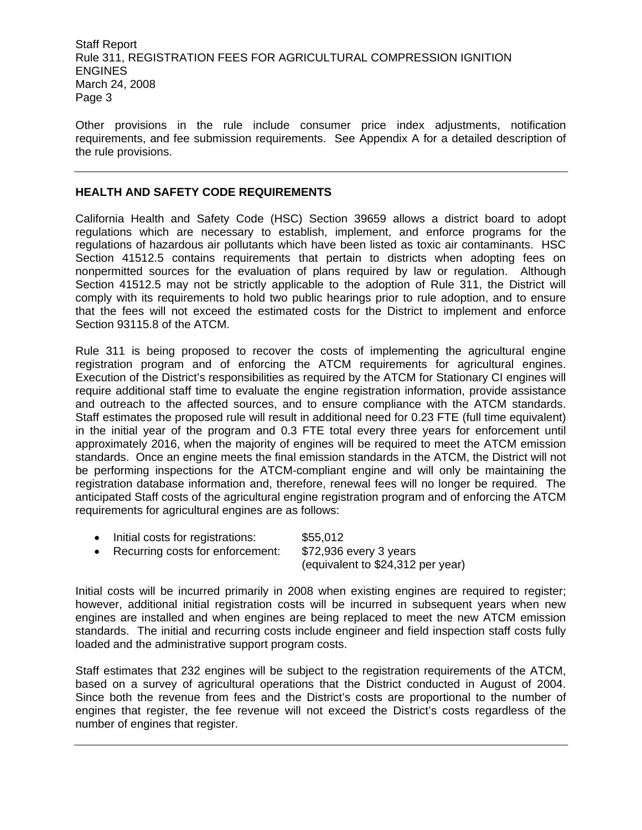Other provisions in the rule include consumer price index adjustments, notification requirements, and fee submission requirements. See Appendix A for a detailed description of the rule provisions.

#### **HEALTH AND SAFETY CODE REQUIREMENTS**

California Health and Safety Code (HSC) Section 39659 allows a district board to adopt regulations which are necessary to establish, implement, and enforce programs for the regulations of hazardous air pollutants which have been listed as toxic air contaminants. HSC Section 41512.5 contains requirements that pertain to districts when adopting fees on nonpermitted sources for the evaluation of plans required by law or regulation. Although Section 41512.5 may not be strictly applicable to the adoption of Rule 311, the District will comply with its requirements to hold two public hearings prior to rule adoption, and to ensure that the fees will not exceed the estimated costs for the District to implement and enforce Section 93115.8 of the ATCM.

Rule 311 is being proposed to recover the costs of implementing the agricultural engine registration program and of enforcing the ATCM requirements for agricultural engines. Execution of the District's responsibilities as required by the ATCM for Stationary CI engines will require additional staff time to evaluate the engine registration information, provide assistance and outreach to the affected sources, and to ensure compliance with the ATCM standards. Staff estimates the proposed rule will result in additional need for 0.23 FTE (full time equivalent) in the initial year of the program and 0.3 FTE total every three years for enforcement until approximately 2016, when the majority of engines will be required to meet the ATCM emission standards. Once an engine meets the final emission standards in the ATCM, the District will not be performing inspections for the ATCM-compliant engine and will only be maintaining the registration database information and, therefore, renewal fees will no longer be required. The anticipated Staff costs of the agricultural engine registration program and of enforcing the ATCM requirements for agricultural engines are as follows:

• Initial costs for registrations: \$55,012 • Recurring costs for enforcement: \$72,936 every 3 years (equivalent to \$24,312 per year)

Initial costs will be incurred primarily in 2008 when existing engines are required to register; however, additional initial registration costs will be incurred in subsequent years when new engines are installed and when engines are being replaced to meet the new ATCM emission standards. The initial and recurring costs include engineer and field inspection staff costs fully loaded and the administrative support program costs.

Staff estimates that 232 engines will be subject to the registration requirements of the ATCM, based on a survey of agricultural operations that the District conducted in August of 2004. Since both the revenue from fees and the District's costs are proportional to the number of engines that register, the fee revenue will not exceed the District's costs regardless of the number of engines that register.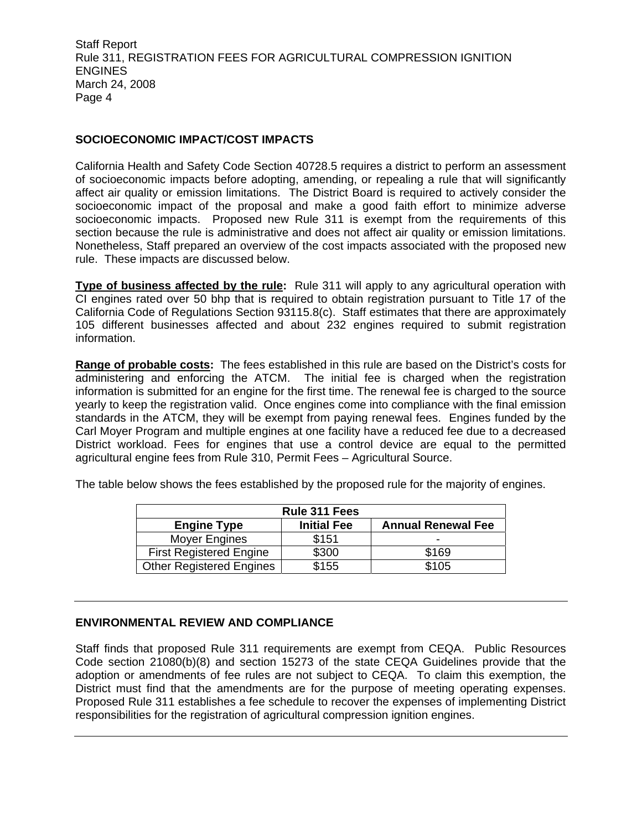### **SOCIOECONOMIC IMPACT/COST IMPACTS**

California Health and Safety Code Section 40728.5 requires a district to perform an assessment of socioeconomic impacts before adopting, amending, or repealing a rule that will significantly affect air quality or emission limitations. The District Board is required to actively consider the socioeconomic impact of the proposal and make a good faith effort to minimize adverse socioeconomic impacts. Proposed new Rule 311 is exempt from the requirements of this section because the rule is administrative and does not affect air quality or emission limitations. Nonetheless, Staff prepared an overview of the cost impacts associated with the proposed new rule. These impacts are discussed below.

**Type of business affected by the rule:** Rule 311 will apply to any agricultural operation with CI engines rated over 50 bhp that is required to obtain registration pursuant to Title 17 of the California Code of Regulations Section 93115.8(c). Staff estimates that there are approximately 105 different businesses affected and about 232 engines required to submit registration information.

**Range of probable costs:** The fees established in this rule are based on the District's costs for administering and enforcing the ATCM. The initial fee is charged when the registration information is submitted for an engine for the first time. The renewal fee is charged to the source yearly to keep the registration valid. Once engines come into compliance with the final emission standards in the ATCM, they will be exempt from paying renewal fees. Engines funded by the Carl Moyer Program and multiple engines at one facility have a reduced fee due to a decreased District workload. Fees for engines that use a control device are equal to the permitted agricultural engine fees from Rule 310, Permit Fees – Agricultural Source.

The table below shows the fees established by the proposed rule for the majority of engines.

| <b>Rule 311 Fees</b>            |                    |                           |
|---------------------------------|--------------------|---------------------------|
| <b>Engine Type</b>              | <b>Initial Fee</b> | <b>Annual Renewal Fee</b> |
| Moyer Engines                   | \$151              |                           |
| <b>First Registered Engine</b>  | \$300              | \$169                     |
| <b>Other Registered Engines</b> | \$155              | \$105                     |

### **ENVIRONMENTAL REVIEW AND COMPLIANCE**

Staff finds that proposed Rule 311 requirements are exempt from CEQA. Public Resources Code section 21080(b)(8) and section 15273 of the state CEQA Guidelines provide that the adoption or amendments of fee rules are not subject to CEQA. To claim this exemption, the District must find that the amendments are for the purpose of meeting operating expenses. Proposed Rule 311 establishes a fee schedule to recover the expenses of implementing District responsibilities for the registration of agricultural compression ignition engines.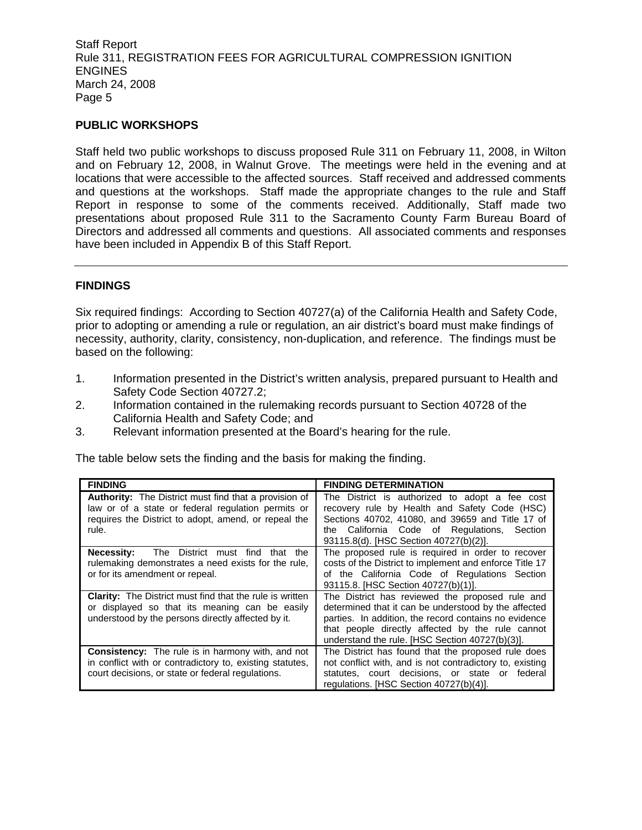### **PUBLIC WORKSHOPS**

Staff held two public workshops to discuss proposed Rule 311 on February 11, 2008, in Wilton and on February 12, 2008, in Walnut Grove. The meetings were held in the evening and at locations that were accessible to the affected sources. Staff received and addressed comments and questions at the workshops. Staff made the appropriate changes to the rule and Staff Report in response to some of the comments received. Additionally, Staff made two presentations about proposed Rule 311 to the Sacramento County Farm Bureau Board of Directors and addressed all comments and questions. All associated comments and responses have been included in Appendix B of this Staff Report.

#### **FINDINGS**

Six required findings: According to Section 40727(a) of the California Health and Safety Code, prior to adopting or amending a rule or regulation, an air district's board must make findings of necessity, authority, clarity, consistency, non-duplication, and reference. The findings must be based on the following:

- 1. Information presented in the District's written analysis, prepared pursuant to Health and Safety Code Section 40727.2;
- 2. Information contained in the rulemaking records pursuant to Section 40728 of the California Health and Safety Code; and
- 3. Relevant information presented at the Board's hearing for the rule.

The table below sets the finding and the basis for making the finding.

| <b>FINDING</b>                                                                                                                                                                      | <b>FINDING DETERMINATION</b>                                                                                                                                                                                                                                            |
|-------------------------------------------------------------------------------------------------------------------------------------------------------------------------------------|-------------------------------------------------------------------------------------------------------------------------------------------------------------------------------------------------------------------------------------------------------------------------|
| <b>Authority:</b> The District must find that a provision of<br>law or of a state or federal regulation permits or<br>requires the District to adopt, amend, or repeal the<br>rule. | The District is authorized to adopt a fee cost<br>recovery rule by Health and Safety Code (HSC)<br>Sections 40702, 41080, and 39659 and Title 17 of<br>California Code of Regulations, Section<br>the<br>93115.8(d). [HSC Section 40727(b)(2)].                         |
| The District must find<br>Necessity:<br>the<br>that<br>rulemaking demonstrates a need exists for the rule,<br>or for its amendment or repeal.                                       | The proposed rule is required in order to recover<br>costs of the District to implement and enforce Title 17<br>of the California Code of Regulations Section<br>93115.8. [HSC Section 40727(b)(1)].                                                                    |
| <b>Clarity:</b> The District must find that the rule is written<br>or displayed so that its meaning can be easily<br>understood by the persons directly affected by it.             | The District has reviewed the proposed rule and<br>determined that it can be understood by the affected<br>parties. In addition, the record contains no evidence<br>that people directly affected by the rule cannot<br>understand the rule. [HSC Section 40727(b)(3)]. |
| <b>Consistency:</b> The rule is in harmony with, and not<br>in conflict with or contradictory to, existing statutes,<br>court decisions, or state or federal regulations.           | The District has found that the proposed rule does<br>not conflict with, and is not contradictory to, existing<br>statutes, court decisions, or state or federal<br>regulations. [HSC Section 40727(b)(4)].                                                             |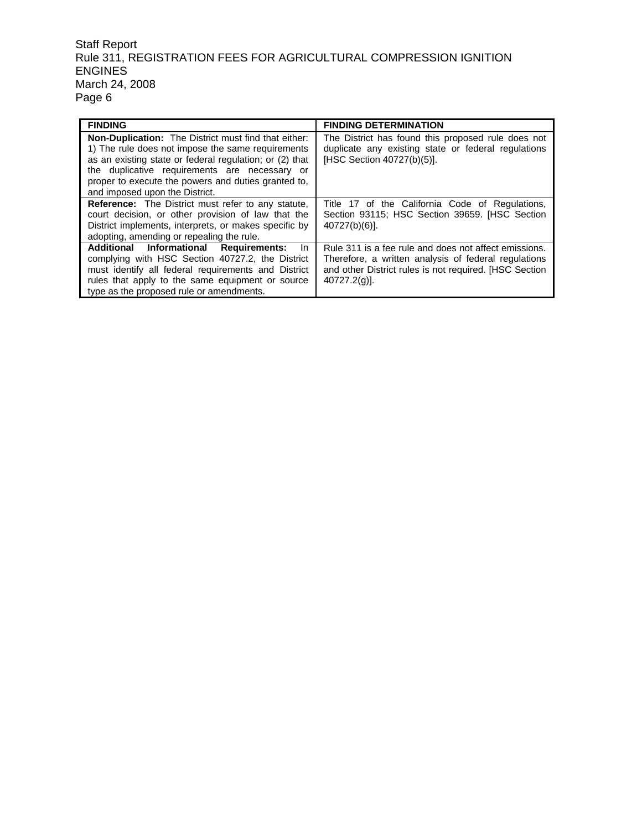| <b>FINDING</b>                                                                                                                                                                                                                                                                                                        | <b>FINDING DETERMINATION</b>                                                                                                                                                               |
|-----------------------------------------------------------------------------------------------------------------------------------------------------------------------------------------------------------------------------------------------------------------------------------------------------------------------|--------------------------------------------------------------------------------------------------------------------------------------------------------------------------------------------|
| <b>Non-Duplication:</b> The District must find that either:<br>1) The rule does not impose the same requirements<br>as an existing state or federal regulation; or (2) that<br>the duplicative requirements are necessary or<br>proper to execute the powers and duties granted to.<br>and imposed upon the District. | The District has found this proposed rule does not<br>duplicate any existing state or federal regulations<br>[HSC Section 40727(b)(5)].                                                    |
| <b>Reference:</b> The District must refer to any statute,<br>court decision, or other provision of law that the<br>District implements, interprets, or makes specific by<br>adopting, amending or repealing the rule.                                                                                                 | Title 17 of the California Code of Regulations,<br>Section 93115; HSC Section 39659. [HSC Section<br>$40727(b)(6)$ ].                                                                      |
| Additional Informational Requirements:<br><b>In</b><br>complying with HSC Section 40727.2, the District<br>must identify all federal requirements and District<br>rules that apply to the same equipment or source<br>type as the proposed rule or amendments.                                                        | Rule 311 is a fee rule and does not affect emissions.<br>Therefore, a written analysis of federal regulations<br>and other District rules is not required. [HSC Section<br>$40727.2(q)$ ]. |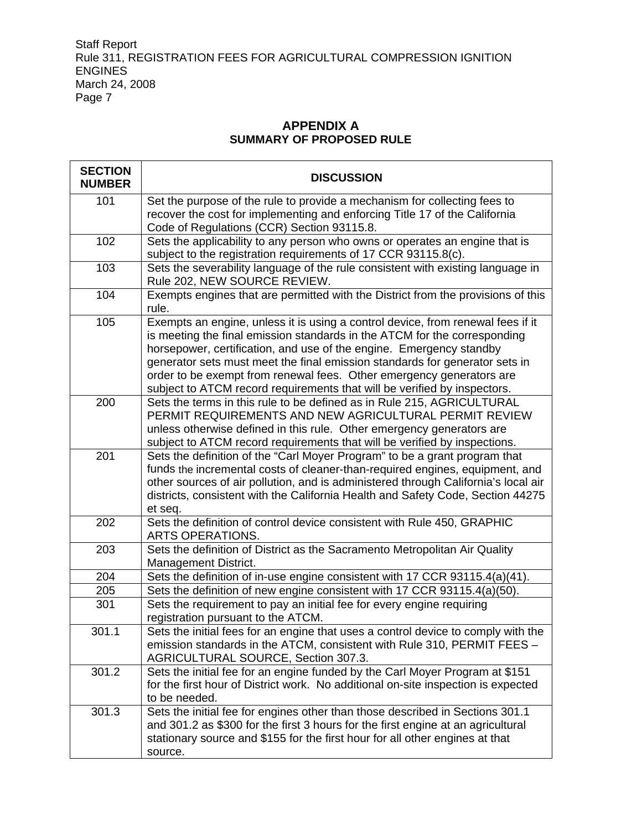r

## **APPENDIX A SUMMARY OF PROPOSED RULE**

| <b>SECTION</b><br><b>NUMBER</b> | <b>DISCUSSION</b>                                                                                                                                                                                                                                                                                                                                                                                                                                                      |
|---------------------------------|------------------------------------------------------------------------------------------------------------------------------------------------------------------------------------------------------------------------------------------------------------------------------------------------------------------------------------------------------------------------------------------------------------------------------------------------------------------------|
| 101                             | Set the purpose of the rule to provide a mechanism for collecting fees to<br>recover the cost for implementing and enforcing Title 17 of the California<br>Code of Regulations (CCR) Section 93115.8.                                                                                                                                                                                                                                                                  |
| 102                             | Sets the applicability to any person who owns or operates an engine that is<br>subject to the registration requirements of 17 CCR 93115.8(c).                                                                                                                                                                                                                                                                                                                          |
| 103                             | Sets the severability language of the rule consistent with existing language in<br>Rule 202, NEW SOURCE REVIEW.                                                                                                                                                                                                                                                                                                                                                        |
| 104                             | Exempts engines that are permitted with the District from the provisions of this<br>rule.                                                                                                                                                                                                                                                                                                                                                                              |
| 105                             | Exempts an engine, unless it is using a control device, from renewal fees if it<br>is meeting the final emission standards in the ATCM for the corresponding<br>horsepower, certification, and use of the engine. Emergency standby<br>generator sets must meet the final emission standards for generator sets in<br>order to be exempt from renewal fees. Other emergency generators are<br>subject to ATCM record requirements that will be verified by inspectors. |
| 200                             | Sets the terms in this rule to be defined as in Rule 215, AGRICULTURAL<br>PERMIT REQUIREMENTS AND NEW AGRICULTURAL PERMIT REVIEW<br>unless otherwise defined in this rule. Other emergency generators are<br>subject to ATCM record requirements that will be verified by inspections.                                                                                                                                                                                 |
| 201                             | Sets the definition of the "Carl Moyer Program" to be a grant program that<br>funds the incremental costs of cleaner-than-required engines, equipment, and<br>other sources of air pollution, and is administered through California's local air<br>districts, consistent with the California Health and Safety Code, Section 44275<br>et seq.                                                                                                                         |
| 202                             | Sets the definition of control device consistent with Rule 450, GRAPHIC<br><b>ARTS OPERATIONS.</b>                                                                                                                                                                                                                                                                                                                                                                     |
| 203                             | Sets the definition of District as the Sacramento Metropolitan Air Quality<br>Management District.                                                                                                                                                                                                                                                                                                                                                                     |
| 204                             | Sets the definition of in-use engine consistent with 17 CCR 93115.4(a)(41).                                                                                                                                                                                                                                                                                                                                                                                            |
| 205                             | Sets the definition of new engine consistent with 17 CCR 93115.4(a)(50).                                                                                                                                                                                                                                                                                                                                                                                               |
| 301                             | Sets the requirement to pay an initial fee for every engine requiring<br>registration pursuant to the ATCM.                                                                                                                                                                                                                                                                                                                                                            |
| 301.1                           | Sets the initial fees for an engine that uses a control device to comply with the<br>emission standards in the ATCM, consistent with Rule 310, PERMIT FEES -<br>AGRICULTURAL SOURCE, Section 307.3.                                                                                                                                                                                                                                                                    |
| 301.2                           | Sets the initial fee for an engine funded by the Carl Moyer Program at \$151<br>for the first hour of District work. No additional on-site inspection is expected<br>to be needed.                                                                                                                                                                                                                                                                                     |
| 301.3                           | Sets the initial fee for engines other than those described in Sections 301.1<br>and 301.2 as \$300 for the first 3 hours for the first engine at an agricultural<br>stationary source and \$155 for the first hour for all other engines at that<br>source.                                                                                                                                                                                                           |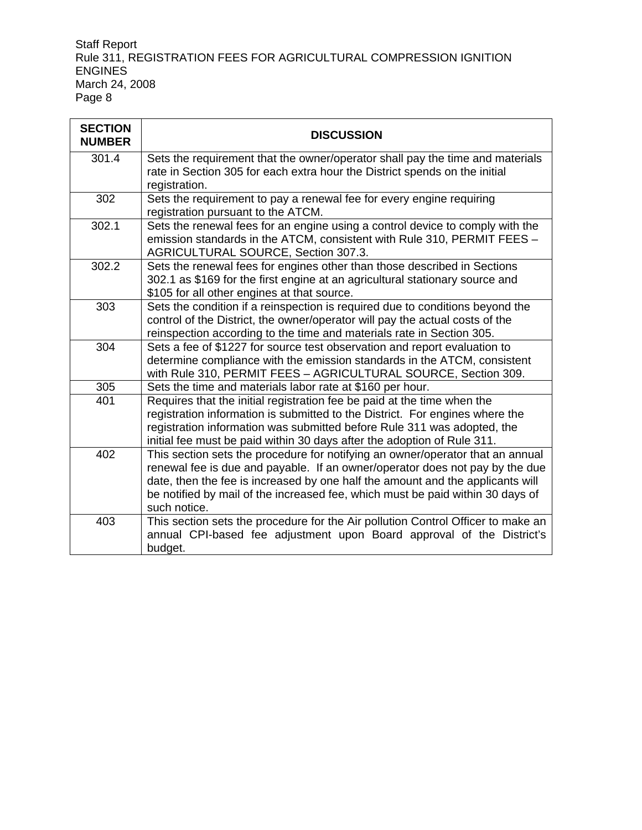j.

| <b>SECTION</b><br><b>NUMBER</b> | <b>DISCUSSION</b>                                                                                                                                                                                                                                                                                                                                  |
|---------------------------------|----------------------------------------------------------------------------------------------------------------------------------------------------------------------------------------------------------------------------------------------------------------------------------------------------------------------------------------------------|
| 301.4                           | Sets the requirement that the owner/operator shall pay the time and materials<br>rate in Section 305 for each extra hour the District spends on the initial<br>registration.                                                                                                                                                                       |
| 302                             | Sets the requirement to pay a renewal fee for every engine requiring<br>registration pursuant to the ATCM.                                                                                                                                                                                                                                         |
| 302.1                           | Sets the renewal fees for an engine using a control device to comply with the<br>emission standards in the ATCM, consistent with Rule 310, PERMIT FEES -<br>AGRICULTURAL SOURCE, Section 307.3.                                                                                                                                                    |
| 302.2                           | Sets the renewal fees for engines other than those described in Sections<br>302.1 as \$169 for the first engine at an agricultural stationary source and<br>\$105 for all other engines at that source.                                                                                                                                            |
| 303                             | Sets the condition if a reinspection is required due to conditions beyond the<br>control of the District, the owner/operator will pay the actual costs of the<br>reinspection according to the time and materials rate in Section 305.                                                                                                             |
| 304                             | Sets a fee of \$1227 for source test observation and report evaluation to<br>determine compliance with the emission standards in the ATCM, consistent<br>with Rule 310, PERMIT FEES - AGRICULTURAL SOURCE, Section 309.                                                                                                                            |
| 305                             | Sets the time and materials labor rate at \$160 per hour.                                                                                                                                                                                                                                                                                          |
| 401                             | Requires that the initial registration fee be paid at the time when the<br>registration information is submitted to the District. For engines where the<br>registration information was submitted before Rule 311 was adopted, the<br>initial fee must be paid within 30 days after the adoption of Rule 311.                                      |
| 402                             | This section sets the procedure for notifying an owner/operator that an annual<br>renewal fee is due and payable. If an owner/operator does not pay by the due<br>date, then the fee is increased by one half the amount and the applicants will<br>be notified by mail of the increased fee, which must be paid within 30 days of<br>such notice. |
| 403                             | This section sets the procedure for the Air pollution Control Officer to make an<br>annual CPI-based fee adjustment upon Board approval of the District's<br>budget.                                                                                                                                                                               |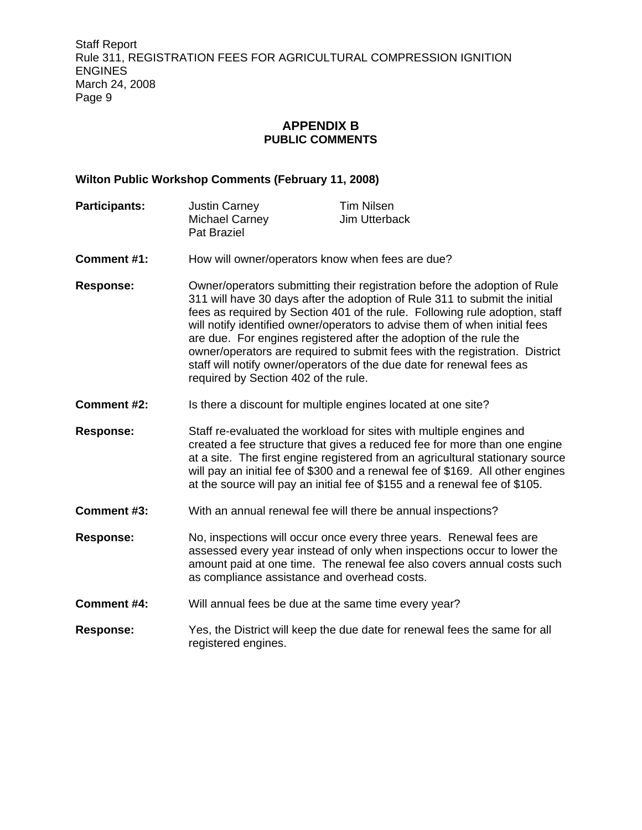## **APPENDIX B PUBLIC COMMENTS**

#### **Wilton Public Workshop Comments (February 11, 2008)**

| <b>Participants:</b> | <b>Justin Carney</b>                        | Tim Nilsen    |
|----------------------|---------------------------------------------|---------------|
|                      | <b>Michael Carney</b><br><b>Pat Braziel</b> | Jim Utterback |
|                      |                                             |               |

- **Comment #1:** How will owner/operators know when fees are due?
- **Response:** Owner/operators submitting their registration before the adoption of Rule 311 will have 30 days after the adoption of Rule 311 to submit the initial fees as required by Section 401 of the rule. Following rule adoption, staff will notify identified owner/operators to advise them of when initial fees are due. For engines registered after the adoption of the rule the owner/operators are required to submit fees with the registration. District staff will notify owner/operators of the due date for renewal fees as required by Section 402 of the rule.
- **Comment #2:** Is there a discount for multiple engines located at one site?
- **Response:** Staff re-evaluated the workload for sites with multiple engines and created a fee structure that gives a reduced fee for more than one engine at a site. The first engine registered from an agricultural stationary source will pay an initial fee of \$300 and a renewal fee of \$169. All other engines at the source will pay an initial fee of \$155 and a renewal fee of \$105.
- **Comment #3:** With an annual renewal fee will there be annual inspections?
- **Response:** No, inspections will occur once every three years. Renewal fees are assessed every year instead of only when inspections occur to lower the amount paid at one time. The renewal fee also covers annual costs such as compliance assistance and overhead costs.
- **Comment #4:** Will annual fees be due at the same time every year?
- **Response:** Yes, the District will keep the due date for renewal fees the same for all registered engines.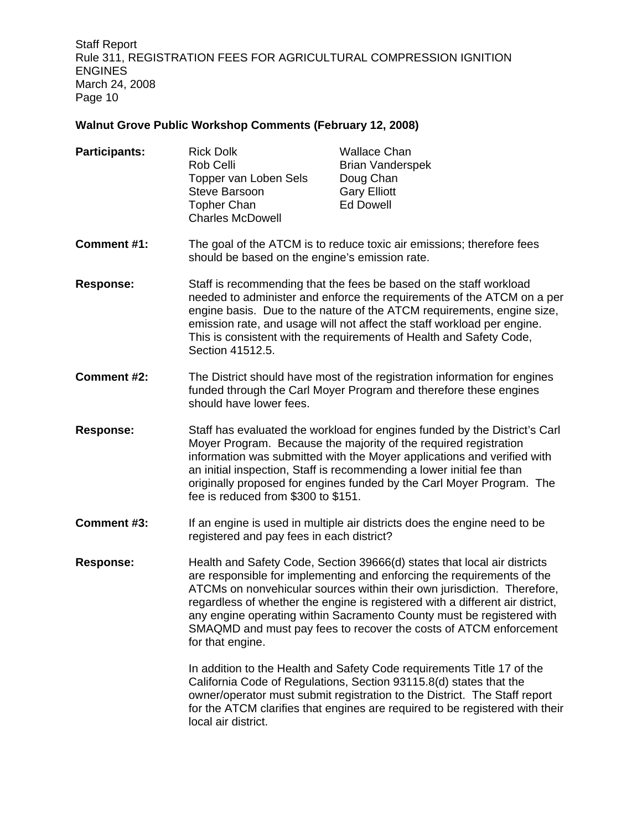# **Walnut Grove Public Workshop Comments (February 12, 2008)**

| <b>Participants:</b> | <b>Rick Dolk</b><br>Rob Celli<br>Topper van Loben Sels<br><b>Steve Barsoon</b><br><b>Topher Chan</b><br><b>Charles McDowell</b>                                                                                                                                                                                                                                                                                    | <b>Wallace Chan</b><br><b>Brian Vanderspek</b><br>Doug Chan<br><b>Gary Elliott</b><br><b>Ed Dowell</b>                                                                                                                                                                                                                                                                                                                                                       |
|----------------------|--------------------------------------------------------------------------------------------------------------------------------------------------------------------------------------------------------------------------------------------------------------------------------------------------------------------------------------------------------------------------------------------------------------------|--------------------------------------------------------------------------------------------------------------------------------------------------------------------------------------------------------------------------------------------------------------------------------------------------------------------------------------------------------------------------------------------------------------------------------------------------------------|
| <b>Comment #1:</b>   | The goal of the ATCM is to reduce toxic air emissions; therefore fees<br>should be based on the engine's emission rate.                                                                                                                                                                                                                                                                                            |                                                                                                                                                                                                                                                                                                                                                                                                                                                              |
| <b>Response:</b>     | Staff is recommending that the fees be based on the staff workload<br>needed to administer and enforce the requirements of the ATCM on a per<br>engine basis. Due to the nature of the ATCM requirements, engine size,<br>emission rate, and usage will not affect the staff workload per engine.<br>This is consistent with the requirements of Health and Safety Code,<br>Section 41512.5.                       |                                                                                                                                                                                                                                                                                                                                                                                                                                                              |
| Comment #2:          | The District should have most of the registration information for engines<br>funded through the Carl Moyer Program and therefore these engines<br>should have lower fees.                                                                                                                                                                                                                                          |                                                                                                                                                                                                                                                                                                                                                                                                                                                              |
| <b>Response:</b>     | Staff has evaluated the workload for engines funded by the District's Carl<br>Moyer Program. Because the majority of the required registration<br>information was submitted with the Moyer applications and verified with<br>an initial inspection, Staff is recommending a lower initial fee than<br>originally proposed for engines funded by the Carl Moyer Program. The<br>fee is reduced from \$300 to \$151. |                                                                                                                                                                                                                                                                                                                                                                                                                                                              |
| Comment #3:          | registered and pay fees in each district?                                                                                                                                                                                                                                                                                                                                                                          | If an engine is used in multiple air districts does the engine need to be                                                                                                                                                                                                                                                                                                                                                                                    |
| <b>Response:</b>     | for that engine.                                                                                                                                                                                                                                                                                                                                                                                                   | Health and Safety Code, Section 39666(d) states that local air districts<br>are responsible for implementing and enforcing the requirements of the<br>ATCMs on nonvehicular sources within their own jurisdiction. Therefore,<br>regardless of whether the engine is registered with a different air district,<br>any engine operating within Sacramento County must be registered with<br>SMAQMD and must pay fees to recover the costs of ATCM enforcement |
|                      |                                                                                                                                                                                                                                                                                                                                                                                                                    | In addition to the Health and Safety Code requirements Title 17 of the<br>California Code of Regulations, Section 93115.8(d) states that the                                                                                                                                                                                                                                                                                                                 |

owner/operator must submit registration to the District. The Staff report for the ATCM clarifies that engines are required to be registered with their local air district.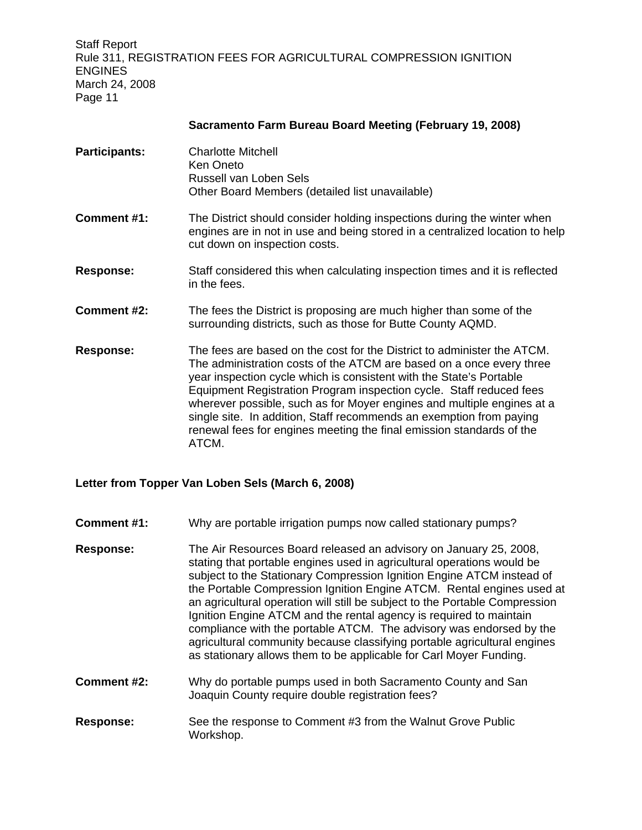|                      | Sacramento Farm Bureau Board Meeting (February 19, 2006)                                                                                                                                                                                                                                                                                                                                                                                                                                                                        |
|----------------------|---------------------------------------------------------------------------------------------------------------------------------------------------------------------------------------------------------------------------------------------------------------------------------------------------------------------------------------------------------------------------------------------------------------------------------------------------------------------------------------------------------------------------------|
| <b>Participants:</b> | <b>Charlotte Mitchell</b><br>Ken Oneto<br>Russell van Loben Sels<br>Other Board Members (detailed list unavailable)                                                                                                                                                                                                                                                                                                                                                                                                             |
| Comment #1:          | The District should consider holding inspections during the winter when<br>engines are in not in use and being stored in a centralized location to help<br>cut down on inspection costs.                                                                                                                                                                                                                                                                                                                                        |
| <b>Response:</b>     | Staff considered this when calculating inspection times and it is reflected<br>in the fees.                                                                                                                                                                                                                                                                                                                                                                                                                                     |
| Comment #2:          | The fees the District is proposing are much higher than some of the<br>surrounding districts, such as those for Butte County AQMD.                                                                                                                                                                                                                                                                                                                                                                                              |
| <b>Response:</b>     | The fees are based on the cost for the District to administer the ATCM.<br>The administration costs of the ATCM are based on a once every three<br>year inspection cycle which is consistent with the State's Portable<br>Equipment Registration Program inspection cycle. Staff reduced fees<br>wherever possible, such as for Moyer engines and multiple engines at a<br>single site. In addition, Staff recommends an exemption from paying<br>renewal fees for engines meeting the final emission standards of the<br>ATCM. |

**Sacramento Farm Bureau Board Meeting (February 19, 2008)**

### **Letter from Topper Van Loben Sels (March 6, 2008)**

- **Comment #1:** Why are portable irrigation pumps now called stationary pumps?
- **Response:** The Air Resources Board released an advisory on January 25, 2008, stating that portable engines used in agricultural operations would be subject to the Stationary Compression Ignition Engine ATCM instead of the Portable Compression Ignition Engine ATCM. Rental engines used at an agricultural operation will still be subject to the Portable Compression Ignition Engine ATCM and the rental agency is required to maintain compliance with the portable ATCM. The advisory was endorsed by the agricultural community because classifying portable agricultural engines as stationary allows them to be applicable for Carl Moyer Funding.
- **Comment #2:** Why do portable pumps used in both Sacramento County and San Joaquin County require double registration fees?
- **Response:** See the response to Comment #3 from the Walnut Grove Public Workshop.